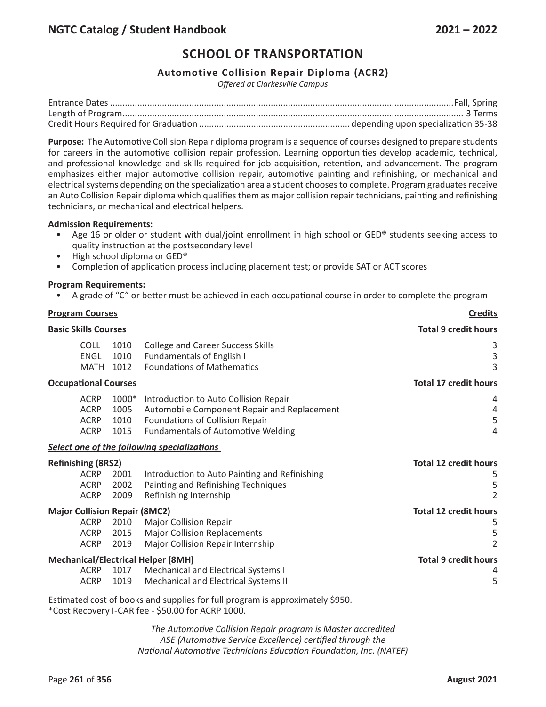## **Automotive Collision Repair Diploma (ACR2)**

*Offered at Clarkesville Campus*

**Purpose:** The Automotive Collision Repair diploma program is a sequence of courses designed to prepare students for careers in the automotive collision repair profession. Learning opportunities develop academic, technical, and professional knowledge and skills required for job acquisition, retention, and advancement. The program emphasizes either major automotive collision repair, automotive painting and refinishing, or mechanical and electrical systems depending on the specialization area a student chooses to complete. Program graduates receive an Auto Collision Repair diploma which qualifies them as major collision repair technicians, painting and refinishing technicians, or mechanical and electrical helpers.

#### **Admission Requirements:**

- Age 16 or older or student with dual/joint enrollment in high school or GED® students seeking access to quality instruction at the postsecondary level
- High school diploma or GED®
- Completion of application process including placement test; or provide SAT or ACT scores

#### **Program Requirements:**

• A grade of "C" or better must be achieved in each occupational course in order to complete the program

| <b>Program Courses</b> |                                                                                   |                                 | <b>Credits</b>                                                                                                                                                       |                                                          |
|------------------------|-----------------------------------------------------------------------------------|---------------------------------|----------------------------------------------------------------------------------------------------------------------------------------------------------------------|----------------------------------------------------------|
|                        | <b>Basic Skills Courses</b>                                                       |                                 | <b>Total 9 credit hours</b>                                                                                                                                          |                                                          |
|                        | <b>COLL</b><br><b>ENGL</b><br><b>MATH</b>                                         | 1010<br>1010<br>1012            | <b>College and Career Success Skills</b><br>Fundamentals of English I<br><b>Foundations of Mathematics</b>                                                           | 3<br>$\mathsf{3}$<br>$\overline{3}$                      |
|                        | <b>Occupational Courses</b>                                                       |                                 |                                                                                                                                                                      | <b>Total 17 credit hours</b>                             |
|                        | <b>ACRP</b><br><b>ACRP</b><br><b>ACRP</b><br><b>ACRP</b>                          | $1000*$<br>1005<br>1010<br>1015 | Introduction to Auto Collision Repair<br>Automobile Component Repair and Replacement<br>Foundations of Collision Repair<br><b>Fundamentals of Automotive Welding</b> | 4<br>4<br>5<br>$\overline{4}$                            |
|                        |                                                                                   |                                 | Select one of the following specializations                                                                                                                          |                                                          |
|                        | <b>Refinishing (8RS2)</b><br><b>ACRP</b><br><b>ACRP</b><br><b>ACRP</b>            | 2001<br>2002<br>2009            | Introduction to Auto Painting and Refinishing<br>Painting and Refinishing Techniques<br>Refinishing Internship                                                       | <b>Total 12 credit hours</b><br>5<br>5<br>$\overline{2}$ |
|                        | <b>Major Collision Repair (8MC2)</b><br><b>ACRP</b><br><b>ACRP</b><br><b>ACRP</b> | 2010<br>2015<br>2019            | <b>Major Collision Repair</b><br><b>Major Collision Replacements</b><br><b>Major Collision Repair Internship</b>                                                     | <b>Total 12 credit hours</b><br>5<br>5<br>$\overline{2}$ |
|                        | <b>ACRP</b><br><b>ACRP</b>                                                        | 1017<br>1019                    | <b>Mechanical/Electrical Helper (8MH)</b><br>Mechanical and Electrical Systems I<br>Mechanical and Electrical Systems II                                             | <b>Total 9 credit hours</b><br>4<br>5                    |
|                        |                                                                                   |                                 | Estimated cost of books and supplies for full program is approximately \$950.<br>*Cost Recovery I-CAR fee - \$50.00 for ACRP 1000.                                   |                                                          |

*The Automotive Collision Repair program is Master accredited ASE (Automotive Service Excellence) certified through the National Automotive Technicians Education Foundation, Inc. (NATEF)*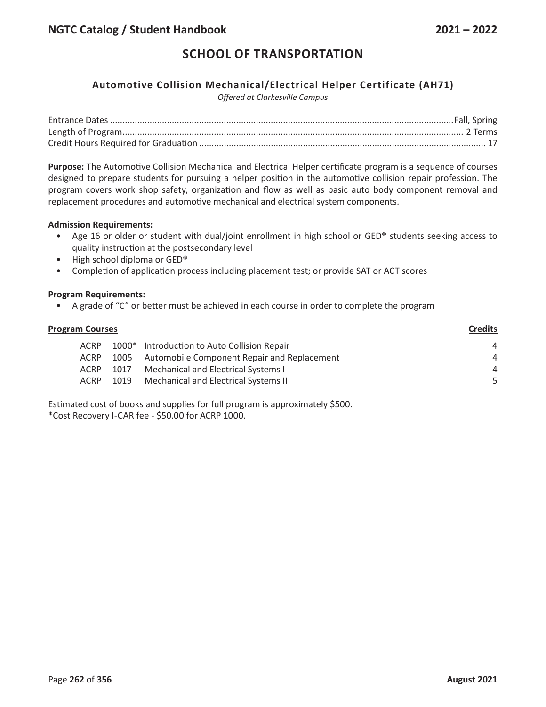## **Automotive Collision Mechanical/Electrical Helper Certificate (AH71)**

*Offered at Clarkesville Campus*

**Purpose:** The Automotive Collision Mechanical and Electrical Helper certificate program is a sequence of courses designed to prepare students for pursuing a helper position in the automotive collision repair profession. The program covers work shop safety, organization and flow as well as basic auto body component removal and replacement procedures and automotive mechanical and electrical system components.

#### **Admission Requirements:**

- Age 16 or older or student with dual/joint enrollment in high school or GED® students seeking access to quality instruction at the postsecondary level
- High school diploma or GED®
- Completion of application process including placement test; or provide SAT or ACT scores

#### **Program Requirements:**

• A grade of "C" or better must be achieved in each course in order to complete the program

| <b>Program Courses</b> |             |      | <b>Credits</b>                              |    |
|------------------------|-------------|------|---------------------------------------------|----|
|                        | ACRP        |      | 1000* Introduction to Auto Collision Repair | 4  |
|                        | <b>ACRP</b> | 1005 | Automobile Component Repair and Replacement | 4  |
|                        | <b>ACRP</b> | 1017 | Mechanical and Electrical Systems I         | 4  |
|                        | ACRP        | 1019 | Mechanical and Electrical Systems II        | -5 |
|                        |             |      |                                             |    |

Estimated cost of books and supplies for full program is approximately \$500.

\*Cost Recovery I-CAR fee - \$50.00 for ACRP 1000.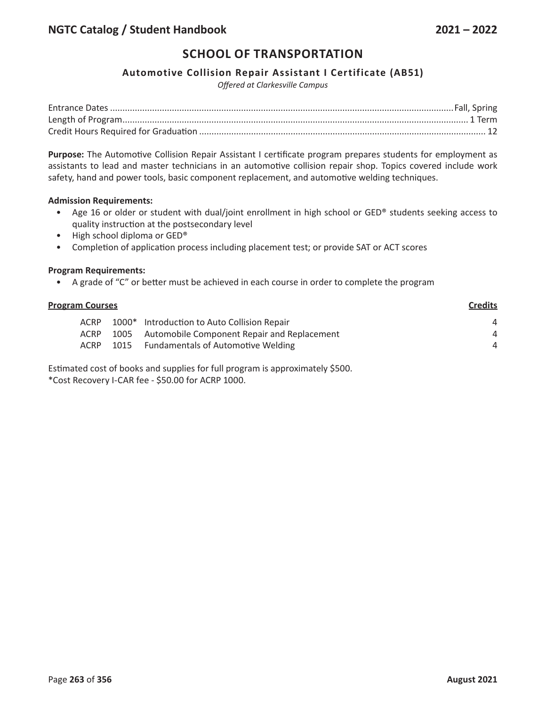### **Automotive Collision Repair Assistant I Certificate (AB51)**

*Offered at Clarkesville Campus*

**Purpose:** The Automotive Collision Repair Assistant I certificate program prepares students for employment as assistants to lead and master technicians in an automotive collision repair shop. Topics covered include work safety, hand and power tools, basic component replacement, and automotive welding techniques.

#### **Admission Requirements:**

- Age 16 or older or student with dual/joint enrollment in high school or GED® students seeking access to quality instruction at the postsecondary level
- High school diploma or GED®
- Completion of application process including placement test; or provide SAT or ACT scores

#### **Program Requirements:**

• A grade of "C" or better must be achieved in each course in order to complete the program

| <b>Program Courses</b> |             |      |                                             | <b>Credits</b> |
|------------------------|-------------|------|---------------------------------------------|----------------|
|                        | <b>ACRP</b> |      | 1000* Introduction to Auto Collision Repair | 4              |
|                        | <b>ACRP</b> | 1005 | Automobile Component Repair and Replacement | 4              |
|                        | ACRP        | 1015 | <b>Fundamentals of Automotive Welding</b>   | 4              |
|                        |             |      |                                             |                |

Estimated cost of books and supplies for full program is approximately \$500. \*Cost Recovery I-CAR fee - \$50.00 for ACRP 1000.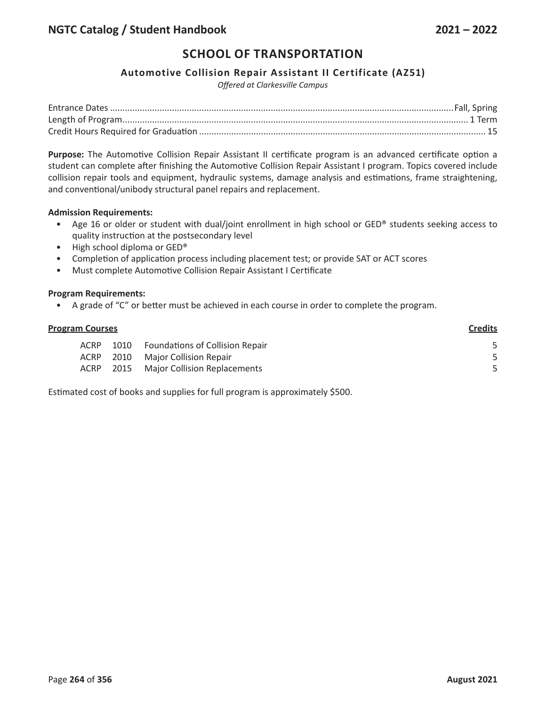## **Automotive Collision Repair Assistant II Certificate (AZ51)**

*Offered at Clarkesville Campus*

**Purpose:** The Automotive Collision Repair Assistant II certificate program is an advanced certificate option a student can complete after finishing the Automotive Collision Repair Assistant I program. Topics covered include collision repair tools and equipment, hydraulic systems, damage analysis and estimations, frame straightening, and conventional/unibody structural panel repairs and replacement.

#### **Admission Requirements:**

- Age 16 or older or student with dual/joint enrollment in high school or GED® students seeking access to quality instruction at the postsecondary level
- High school diploma or GED<sup>®</sup>
- Completion of application process including placement test; or provide SAT or ACT scores
- Must complete Automotive Collision Repair Assistant I Certificate

#### **Program Requirements:**

• A grade of "C" or better must be achieved in each course in order to complete the program.

| <b>Program Courses</b> |             |      | <b>Credits</b>                         |  |
|------------------------|-------------|------|----------------------------------------|--|
|                        | ACRP        | 1010 | <b>Foundations of Collision Repair</b> |  |
|                        | <b>ACRP</b> |      | 2010 Major Collision Repair            |  |
|                        | ACRP        |      | 2015 Major Collision Replacements      |  |
|                        |             |      |                                        |  |

Estimated cost of books and supplies for full program is approximately \$500.